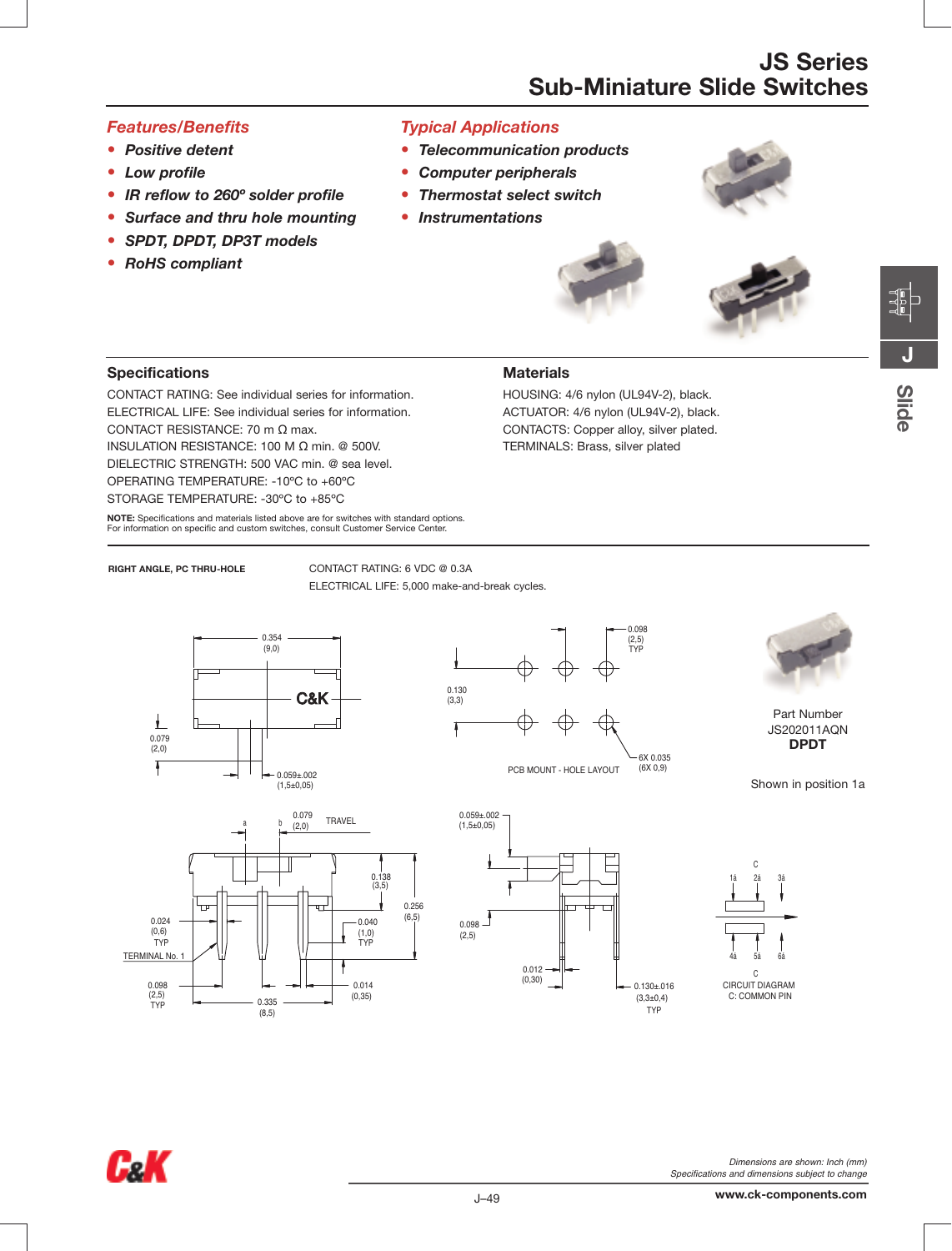### **Features/Benefits**

- Positive detent
- Low profile
- IR reflow to 260° solder profile
- Surface and thru hole mounting
- SPDT, DPDT, DP3T models
- RoHS compliant

## **Typical Applications**

• Telecommunication products

**Materials** 

HOUSING: 4/6 nylon (UL94V-2), black.

ACTUATOR: 4/6 nylon (UL94V-2), black.

CONTACTS: Copper alloy, silver plated.

TERMINALS: Brass, silver plated

- **Computer peripherals**  $\bullet$
- **Thermostat select switch**  $\bullet$
- **Instrumentations**





# **Slide**

**Specifications** 

CONTACT RATING: See individual series for information. ELECTRICAL LIFE: See individual series for information. CONTACT RESISTANCE: 70 m Ω max. INSULATION RESISTANCE: 100 Μ Ω min. @ 500V. DIELECTRIC STRENGTH: 500 VAC min. @ sea level. OPERATING TEMPERATURE: - 10°C to +60°C STORAGE TEMPERATURE: - 30°C to +85°C

NOTE: Specifications and materials listed above are for switches with standard options. For information on specific and custom switches, consult Customer Service Center.

### **RIGHT ANGLE, PC THRU-HOLE**

CONTACT RATING: 6 VDC @ 0.3A ELECTRICAL LIFE: 5,000 make-and-break cycles.





Part Number JS202011AQN **DPDT** 

Shown in position 1a









Dimensions are shown: Inch (mm) Specifications and dimensions subject to change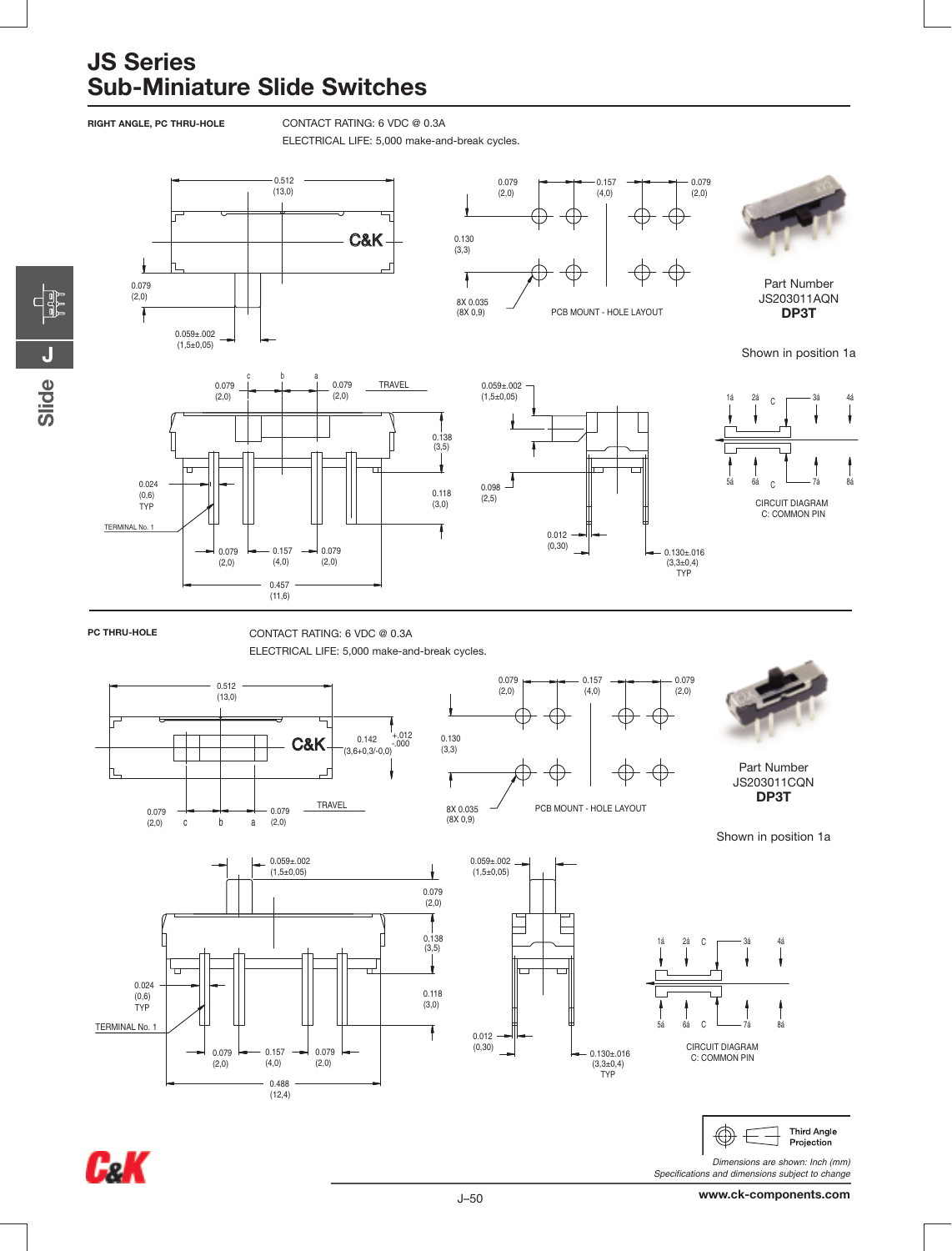RIGHT ANGLE, PC THRU-HOLE

CONTACT RATING: 6 VDC @ 0.3A

ELECTRICAL LIFE: 5,000 make-and-break cycles.





www.ck-components.com

Specifications and dimensions subject to change

FF<br>FF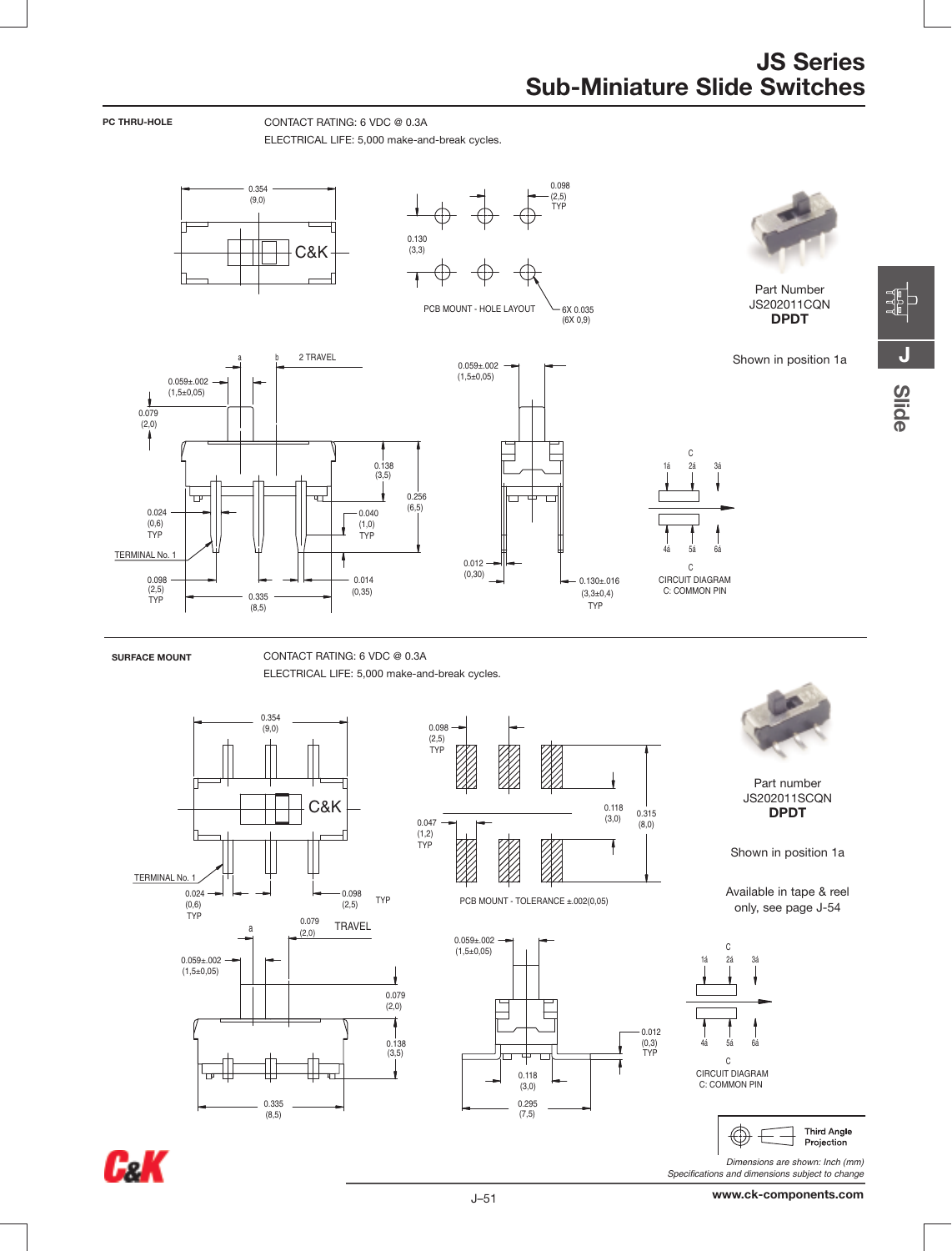Ć

 $24$  $34$ 

C

 $0.130 \pm 0.016$ 

 $(3,3\pm0,4)$ 

TYP

CIRCUIT DIAGRAM

C: COMMON PIN

CONTACT RATING: 6 VDC @ 0.3A



Part Number JS202011CQN **DPDT** 

Shown in position 1a





PC THRU-HOLE

CONTACT RATING: 6 VDC @ 0.3A ELECTRICAL LIFE: 5,000 make-and-break cycles.







PCB MOUNT - TOLERANCE ±.002(0,05)





Part number JS202011SCQN **DPDT** 

Shown in position 1a

Available in tape & reel only, see page J-54





Dimensions are shown: Inch (mm) Specifications and dimensions subject to change

ELECTRICAL LIFE: 5,000 make-and-break cycles. 0.098 0.354  $(2,5)$ <br>TYP  $(9, 0)$  $0.130$ <br> $(3,3)$ C&K PCB MOUNT - HOLE LAYOUT 6X 0.035  $(6X 0.9)$ 2 TRAVEL  $0.059 \pm 0.002$ <br>(1,5±0,05)  $0.059 \pm 0.002$ <br>(1,5±0,05)  $0.079$ <br>(2,0)  $0.138$ <br> $(3,5)$  $0.256$  $(6, 5)$  $0.024$  $-0.040$  $(0,6)$ <br>TYP  $(1,0)$ <br>TYP TERMINAL No. f  $0.012$  $(0, 30)$ 0.098  $0.014$  $(2,5)$ <br>TYP  $(0, 35)$ 0.335  $(8, 5)$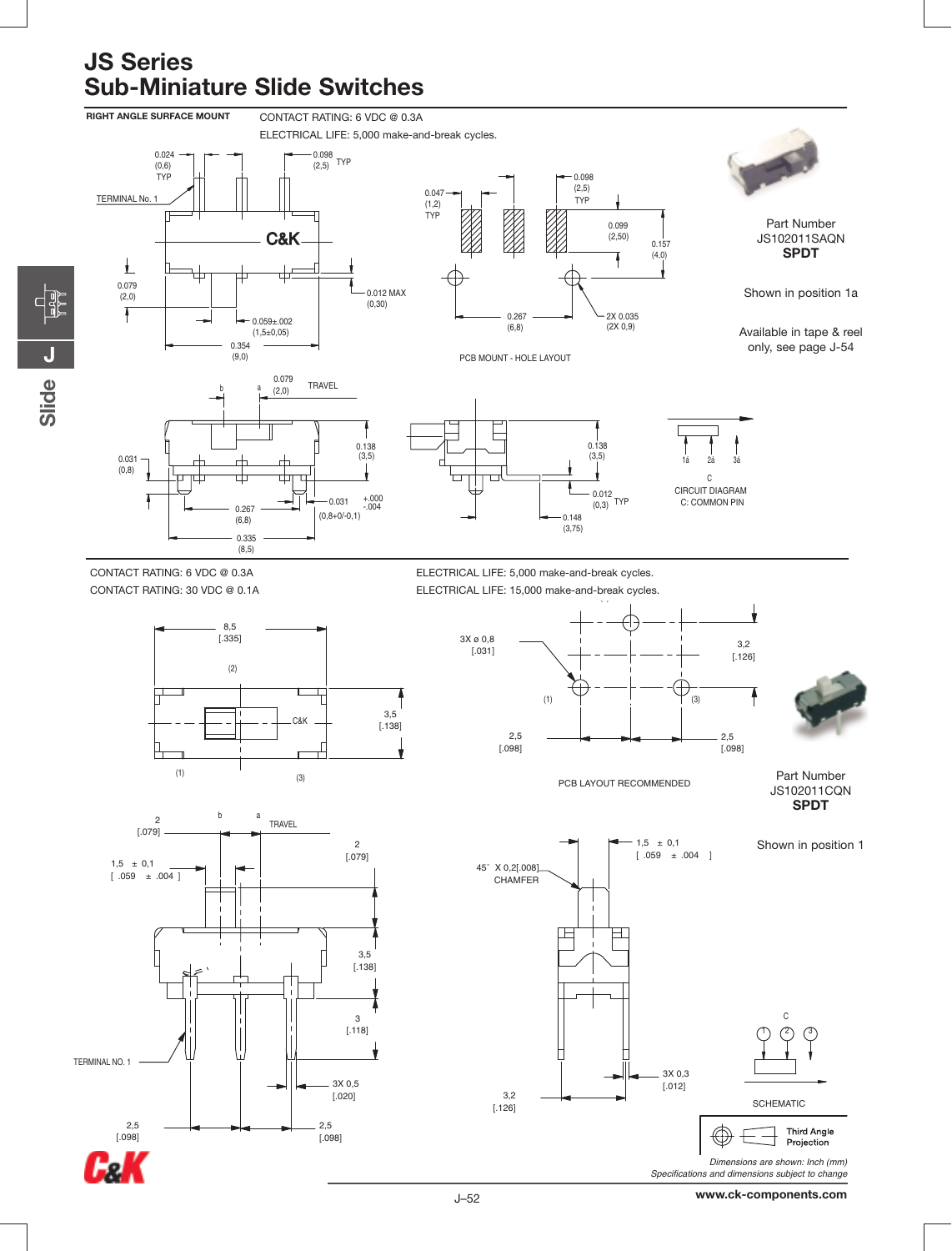**CHE** 

Slide



www.ck-components.com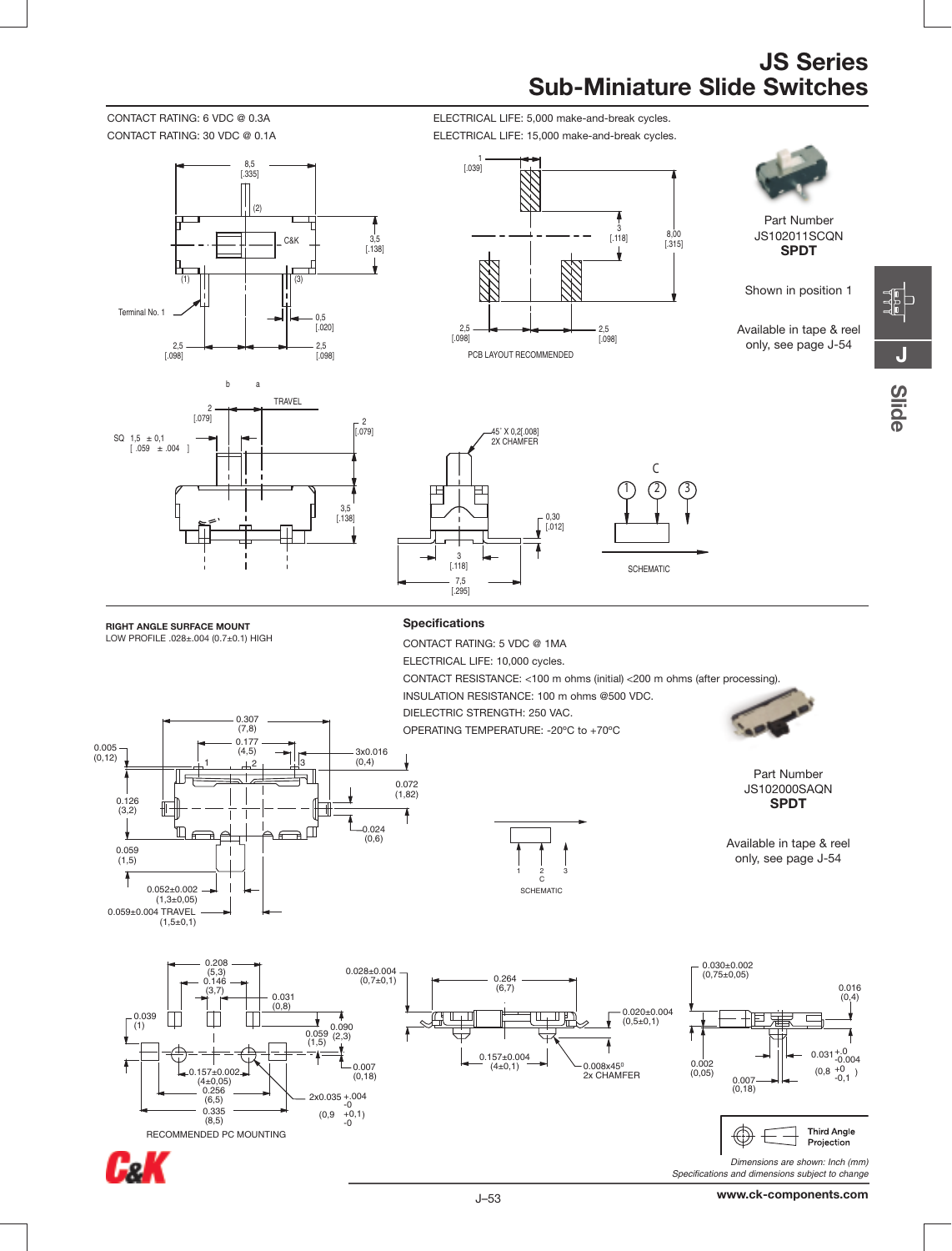CONTACT RATING: 6 VDC @ 0.3A ELECTRICAL LIFE: 5,000 make-and-break cycles.







Part Number JS102011SCQN **SPDT**

Shown in position 1

Available in tape & reel only, see page J-54



<u>လူ</u> **e**

2 [.079] 3,5 [.138] SQ  $1,5 \pm 0,1$  $[ .059 \pm .004 ]$ 2 [.079] TRAVEL b a

> 0.177 (4,5) 0.307 (7,8)

1 노2 뇌3



**RIGHT ANGLE SURFACE MOUNT** LOW PROFILE .028±.004 (0.7±0.1) HIGH

0.005 (0,12)

> 0.126 (3,2)

> > 0.059 (1,5)

٧

 $0.052 \pm 0.002$  $(1,3\pm0,05)$ 0.059±0.004 TRAVEL (1,5±0,1)

'n

╒

### **Specifications**

0.072  $(1,82)$ 

0.024 (0,6)

 $\Box$ 

F ∍ 3x0.016  $(0,4)$ 

CONTACT RATING: 5 VDC @ 1MA ELECTRICAL LIFE: 10,000 cycles. CONTACT RESISTANCE: <100 m ohms (initial) <200 m ohms (after processing). INSULATION RESISTANCE: 100 m ohms @500 VDC. DIELECTRIC STRENGTH: 250 VAC. OPERATING TEMPERATURE: -20ºC to +70ºC



Part Number JS102000SAQN **SPDT**

Available in tape & reel only, see page J-54



CæK



1 2 3  $\tilde{c}$ **SCHEMATIC** 



**Third Angle** ₩ Projection *Dimensions are shown: Inch (mm)*

*Specifications and dimensions subject to change*